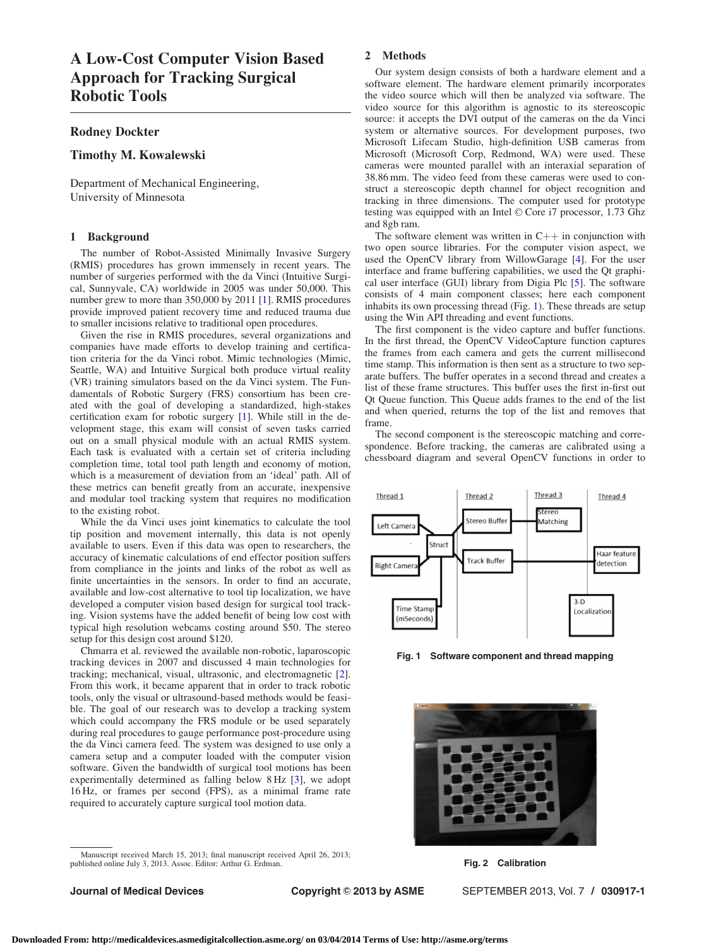## <span id="page-0-0"></span>Rodney Dockter

# Timothy M. Kowalewski

Department of Mechanical Engineering, University of Minnesota

### 1 Background

The number of Robot-Assisted Minimally Invasive Surgery (RMIS) procedures has grown immensely in recent years. The number of surgeries performed with the da Vinci (Intuitive Surgical, Sunnyvale, CA) worldwide in 2005 was under 50,000. This number grew to more than 350,000 by 2011 [\[1\]](#page-1-0). RMIS procedures provide improved patient recovery time and reduced trauma due to smaller incisions relative to traditional open procedures.

Given the rise in RMIS procedures, several organizations and companies have made efforts to develop training and certification criteria for the da Vinci robot. Mimic technologies (Mimic, Seattle, WA) and Intuitive Surgical both produce virtual reality (VR) training simulators based on the da Vinci system. The Fundamentals of Robotic Surgery (FRS) consortium has been created with the goal of developing a standardized, high-stakes certification exam for robotic surgery [[1](#page-1-0)]. While still in the development stage, this exam will consist of seven tasks carried out on a small physical module with an actual RMIS system. Each task is evaluated with a certain set of criteria including completion time, total tool path length and economy of motion, which is a measurement of deviation from an 'ideal' path. All of these metrics can benefit greatly from an accurate, inexpensive and modular tool tracking system that requires no modification to the existing robot.

While the da Vinci uses joint kinematics to calculate the tool tip position and movement internally, this data is not openly available to users. Even if this data was open to researchers, the accuracy of kinematic calculations of end effector position suffers from compliance in the joints and links of the robot as well as finite uncertainties in the sensors. In order to find an accurate, available and low-cost alternative to tool tip localization, we have developed a computer vision based design for surgical tool tracking. Vision systems have the added benefit of being low cost with typical high resolution webcams costing around \$50. The stereo setup for this design cost around \$120.

Chmarra et al. reviewed the available non-robotic, laparoscopic tracking devices in 2007 and discussed 4 main technologies for tracking; mechanical, visual, ultrasonic, and electromagnetic [\[2\]](#page-1-0). From this work, it became apparent that in order to track robotic tools, only the visual or ultrasound-based methods would be feasible. The goal of our research was to develop a tracking system which could accompany the FRS module or be used separately during real procedures to gauge performance post-procedure using the da Vinci camera feed. The system was designed to use only a camera setup and a computer loaded with the computer vision software. Given the bandwidth of surgical tool motions has been experimentally determined as falling below 8 Hz [[3](#page-1-0)], we adopt 16 Hz, or frames per second (FPS), as a minimal frame rate required to accurately capture surgical tool motion data.

Manuscript received March 15, 2013; final manuscript received April 26, 2013; published online July 3, 2013. Assoc. Editor: Arthur G. Erdman.

### 2 Methods

Our system design consists of both a hardware element and a software element. The hardware element primarily incorporates the video source which will then be analyzed via software. The video source for this algorithm is agnostic to its stereoscopic source: it accepts the DVI output of the cameras on the da Vinci system or alternative sources. For development purposes, two Microsoft Lifecam Studio, high-definition USB cameras from Microsoft (Microsoft Corp, Redmond, WA) were used. These cameras were mounted parallel with an interaxial separation of 38.86 mm. The video feed from these cameras were used to construct a stereoscopic depth channel for object recognition and tracking in three dimensions. The computer used for prototype testing was equipped with an Intel © Core i7 processor, 1.73 Ghz and 8gb ram.

The software element was written in  $C++$  in conjunction with two open source libraries. For the computer vision aspect, we used the OpenCV library from WillowGarage [\[4\]](#page-1-0). For the user interface and frame buffering capabilities, we used the Qt graphical user interface (GUI) library from Digia Plc [\[5\]](#page-1-0). The software consists of 4 main component classes; here each component inhabits its own processing thread (Fig. 1). These threads are setup using the Win API threading and event functions.

The first component is the video capture and buffer functions. In the first thread, the OpenCV VideoCapture function captures the frames from each camera and gets the current millisecond time stamp. This information is then sent as a structure to two separate buffers. The buffer operates in a second thread and creates a list of these frame structures. This buffer uses the first in-first out Qt Queue function. This Queue adds frames to the end of the list and when queried, returns the top of the list and removes that frame.

The second component is the stereoscopic matching and correspondence. Before tracking, the cameras are calibrated using a chessboard diagram and several OpenCV functions in order to



Fig. 1 Software component and thread mapping



Fig. 2 Calibration

Journal of Medical Devices **Copyright © 2013 by ASME** SEPTEMBER 2013, Vol. 7 / 030917-1